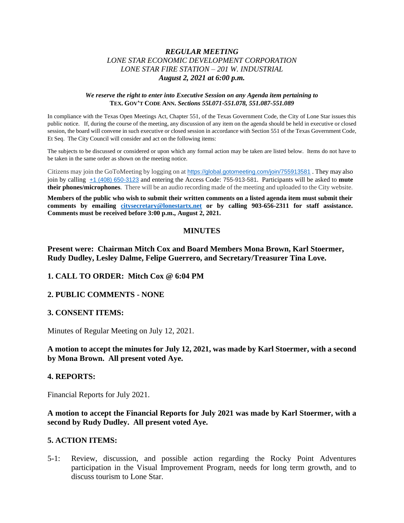# *REGULAR MEETING LONE STAR ECONOMIC DEVELOPMENT CORPORATION LONE STAR FIRE STATION – 201 W. INDUSTRIAL August 2, 2021 at 6:00 p.m.*

#### *We reserve the right to enter into Executive Session on any Agenda item pertaining to*  **TEX. GOV'T CODE ANN.** *Sections 55l.071-551.078, 551.087-551.089*

In compliance with the Texas Open Meetings Act, Chapter 551, of the Texas Government Code, the City of Lone Star issues this public notice. If, during the course of the meeting, any discussion of any item on the agenda should be held in executive or closed session, the board will convene in such executive or closed session in accordance with Section 551 of the Texas Government Code, Et Seq. The City Council will consider and act on the following items:

The subjects to be discussed or considered or upon which any formal action may be taken are listed below. Items do not have to be taken in the same order as shown on the meeting notice.

Citizens may join the GoToMeeting by logging on at <https://global.gotomeeting.com/join/755913581> . They may also join by calling [+1 \(408\) 650-3123](tel:+14086503123,,755913581) and entering the Access Code: 755-913-581. Participants will be asked to **mute their phones/microphones**. There will be an audio recording made of the meeting and uploaded to the City website.

**Members of the public who wish to submit their written comments on a listed agenda item must submit their comments by emailing [citysecretary@lonestartx.net](mailto:citysecretary@lonestartx.net) or by calling 903-656-2311 for staff assistance. Comments must be received before 3:00 p.m., August 2, 2021.**

## **MINUTES**

**Present were: Chairman Mitch Cox and Board Members Mona Brown, Karl Stoermer, Rudy Dudley, Lesley Dalme, Felipe Guerrero, and Secretary/Treasurer Tina Love.**

**1. CALL TO ORDER: Mitch Cox @ 6:04 PM**

### **2. PUBLIC COMMENTS - NONE**

#### **3. CONSENT ITEMS:**

Minutes of Regular Meeting on July 12, 2021.

**A motion to accept the minutes for July 12, 2021, was made by Karl Stoermer, with a second by Mona Brown. All present voted Aye.**

#### **4. REPORTS:**

Financial Reports for July 2021.

**A motion to accept the Financial Reports for July 2021 was made by Karl Stoermer, with a second by Rudy Dudley. All present voted Aye.**

# **5. ACTION ITEMS:**

5-1: Review, discussion, and possible action regarding the Rocky Point Adventures participation in the Visual Improvement Program, needs for long term growth, and to discuss tourism to Lone Star.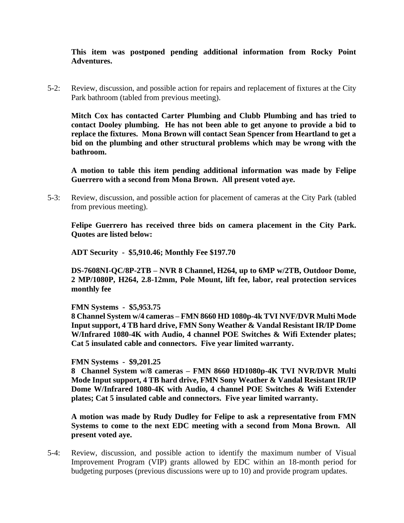# **This item was postponed pending additional information from Rocky Point Adventures.**

5-2: Review, discussion, and possible action for repairs and replacement of fixtures at the City Park bathroom (tabled from previous meeting).

**Mitch Cox has contacted Carter Plumbing and Clubb Plumbing and has tried to contact Dooley plumbing. He has not been able to get anyone to provide a bid to replace the fixtures. Mona Brown will contact Sean Spencer from Heartland to get a bid on the plumbing and other structural problems which may be wrong with the bathroom.**

**A motion to table this item pending additional information was made by Felipe Guerrero with a second from Mona Brown. All present voted aye.**

5-3: Review, discussion, and possible action for placement of cameras at the City Park (tabled from previous meeting).

**Felipe Guerrero has received three bids on camera placement in the City Park. Quotes are listed below:**

**ADT Security - \$5,910.46; Monthly Fee \$197.70**

**DS-7608NI-QC/8P-2TB – NVR 8 Channel, H264, up to 6MP w/2TB, Outdoor Dome, 2 MP/1080P, H264, 2.8-12mm, Pole Mount, lift fee, labor, real protection services monthly fee**

#### **FMN Systems - \$5,953.75**

**8 Channel System w/4 cameras – FMN 8660 HD 1080p-4k TVI NVF/DVR Multi Mode Input support, 4 TB hard drive, FMN Sony Weather & Vandal Resistant IR/IP Dome W/Infrared 1080-4K with Audio, 4 channel POE Switches & Wifi Extender plates; Cat 5 insulated cable and connectors. Five year limited warranty.**

**FMN Systems - \$9,201.25**

**8 Channel System w/8 cameras – FMN 8660 HD1080p-4K TVI NVR/DVR Multi Mode Input support, 4 TB hard drive, FMN Sony Weather & Vandal Resistant IR/IP Dome W/Infrared 1080-4K with Audio, 4 channel POE Switches & Wifi Extender plates; Cat 5 insulated cable and connectors. Five year limited warranty.**

**A motion was made by Rudy Dudley for Felipe to ask a representative from FMN Systems to come to the next EDC meeting with a second from Mona Brown. All present voted aye.**

5-4: Review, discussion, and possible action to identify the maximum number of Visual Improvement Program (VIP) grants allowed by EDC within an 18-month period for budgeting purposes (previous discussions were up to 10) and provide program updates.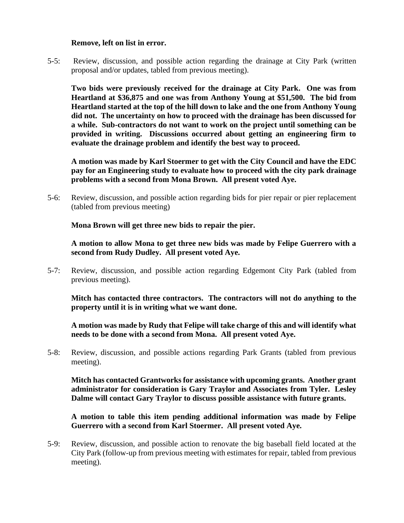### **Remove, left on list in error.**

5-5: Review, discussion, and possible action regarding the drainage at City Park (written proposal and/or updates, tabled from previous meeting).

**Two bids were previously received for the drainage at City Park. One was from Heartland at \$36,875 and one was from Anthony Young at \$51,500. The bid from Heartland started at the top of the hill down to lake and the one from Anthony Young did not. The uncertainty on how to proceed with the drainage has been discussed for a while. Sub-contractors do not want to work on the project until something can be provided in writing. Discussions occurred about getting an engineering firm to evaluate the drainage problem and identify the best way to proceed.** 

**A motion was made by Karl Stoermer to get with the City Council and have the EDC pay for an Engineering study to evaluate how to proceed with the city park drainage problems with a second from Mona Brown. All present voted Aye.** 

5-6: Review, discussion, and possible action regarding bids for pier repair or pier replacement (tabled from previous meeting)

**Mona Brown will get three new bids to repair the pier.** 

**A motion to allow Mona to get three new bids was made by Felipe Guerrero with a second from Rudy Dudley. All present voted Aye.**

5-7: Review, discussion, and possible action regarding Edgemont City Park (tabled from previous meeting).

**Mitch has contacted three contractors. The contractors will not do anything to the property until it is in writing what we want done.** 

**A motion was made by Rudy that Felipe will take charge of this and will identify what needs to be done with a second from Mona. All present voted Aye.**

5-8: Review, discussion, and possible actions regarding Park Grants (tabled from previous meeting).

**Mitch has contacted Grantworks for assistance with upcoming grants. Another grant administrator for consideration is Gary Traylor and Associates from Tyler. Lesley Dalme will contact Gary Traylor to discuss possible assistance with future grants.**

**A motion to table this item pending additional information was made by Felipe Guerrero with a second from Karl Stoermer. All present voted Aye.**

5-9: Review, discussion, and possible action to renovate the big baseball field located at the City Park (follow-up from previous meeting with estimates for repair, tabled from previous meeting).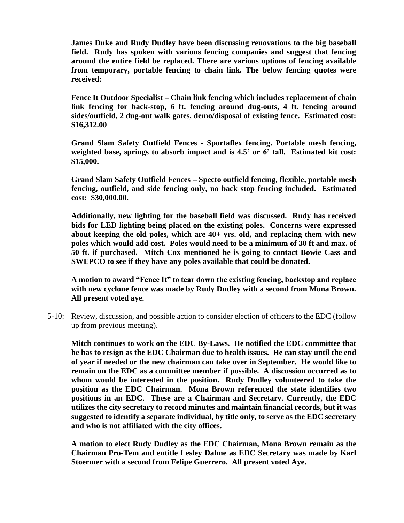**James Duke and Rudy Dudley have been discussing renovations to the big baseball field. Rudy has spoken with various fencing companies and suggest that fencing around the entire field be replaced. There are various options of fencing available from temporary, portable fencing to chain link. The below fencing quotes were received:**

**Fence It Outdoor Specialist – Chain link fencing which includes replacement of chain link fencing for back-stop, 6 ft. fencing around dug-outs, 4 ft. fencing around sides/outfield, 2 dug-out walk gates, demo/disposal of existing fence. Estimated cost: \$16,312.00**

**Grand Slam Safety Outfield Fences - Sportaflex fencing. Portable mesh fencing, weighted base, springs to absorb impact and is 4.5' or 6' tall. Estimated kit cost: \$15,000.**

**Grand Slam Safety Outfield Fences – Specto outfield fencing, flexible, portable mesh fencing, outfield, and side fencing only, no back stop fencing included. Estimated cost: \$30,000.00.**

**Additionally, new lighting for the baseball field was discussed. Rudy has received bids for LED lighting being placed on the existing poles. Concerns were expressed about keeping the old poles, which are 40+ yrs. old, and replacing them with new poles which would add cost. Poles would need to be a minimum of 30 ft and max. of 50 ft. if purchased. Mitch Cox mentioned he is going to contact Bowie Cass and SWEPCO to see if they have any poles available that could be donated.** 

**A motion to award "Fence It" to tear down the existing fencing, backstop and replace with new cyclone fence was made by Rudy Dudley with a second from Mona Brown. All present voted aye.**

5-10: Review, discussion, and possible action to consider election of officers to the EDC (follow up from previous meeting).

**Mitch continues to work on the EDC By-Laws. He notified the EDC committee that he has to resign as the EDC Chairman due to health issues. He can stay until the end of year if needed or the new chairman can take over in September. He would like to remain on the EDC as a committee member if possible. A discussion occurred as to whom would be interested in the position. Rudy Dudley volunteered to take the position as the EDC Chairman. Mona Brown referenced the state identifies two positions in an EDC. These are a Chairman and Secretary. Currently, the EDC utilizes the city secretary to record minutes and maintain financial records, but it was suggested to identify a separate individual, by title only, to serve as the EDC secretary and who is not affiliated with the city offices.** 

**A motion to elect Rudy Dudley as the EDC Chairman, Mona Brown remain as the Chairman Pro-Tem and entitle Lesley Dalme as EDC Secretary was made by Karl Stoermer with a second from Felipe Guerrero. All present voted Aye.**